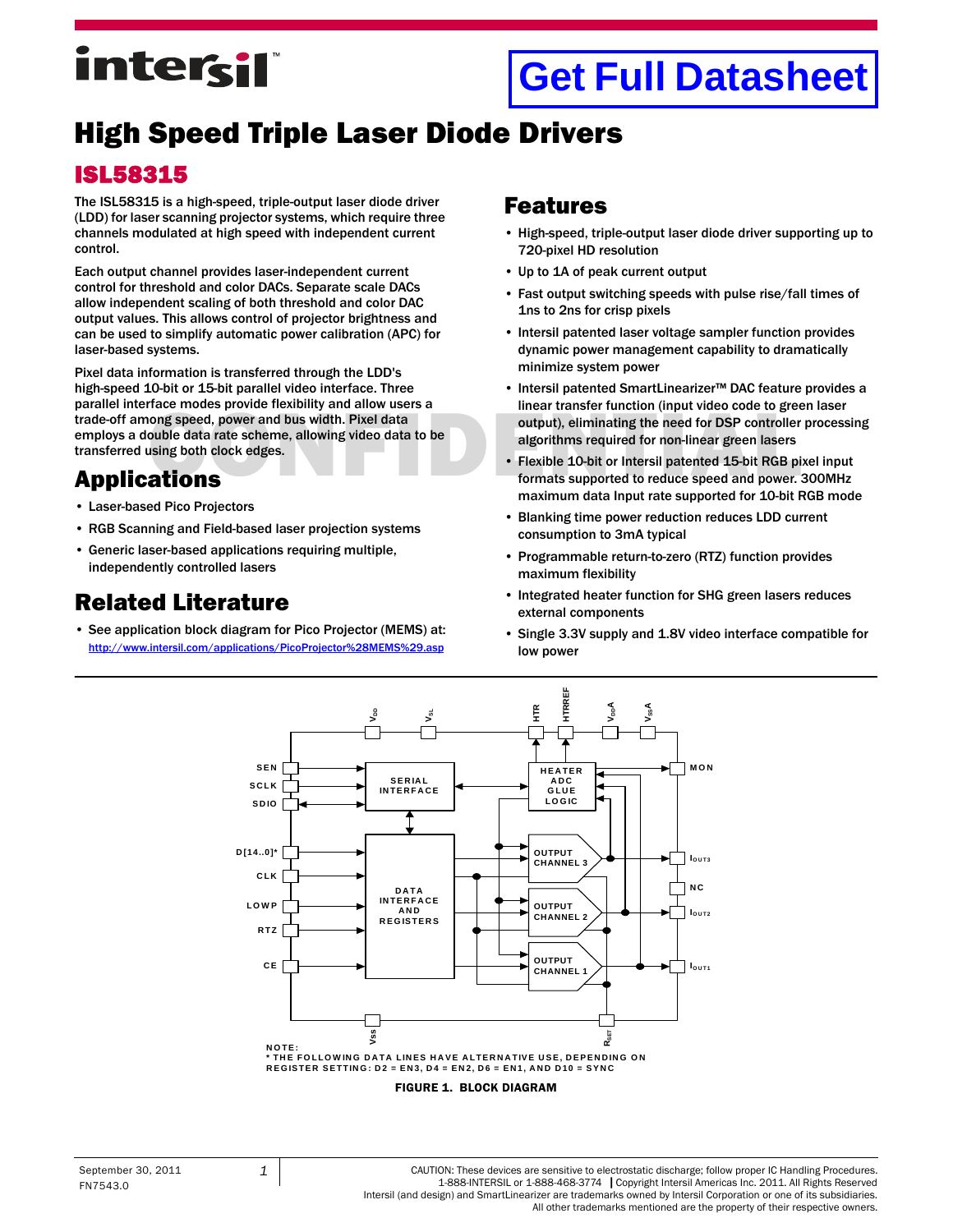## intersil

### **[Get Full Datasheet](http://www.intersil.com/documentation/high_speed_Optoelectronics.asp)**

#### High Speed Triple Laser Diode Drivers

#### ISL58315

The ISL58315 is a high-speed, triple-output laser diode driver (LDD) for laser scanning projector systems, which require three channels modulated at high speed with independent current control.

Each output channel provides laser-independent current control for threshold and color DACs. Separate scale DACs allow independent scaling of both threshold and color DAC output values. This allows control of projector brightness and can be used to simplify automatic power calibration (APC) for laser-based systems.

Frace modes provide flexibility and allow users a<br>
ong speed, power and bus width. Pixel data<br>
output), eliminating the need for DSP controller<br>
sing both clock edges.<br> **ations**<br> **ations** Pixel data information is transferred through the LDD's high-speed 10-bit or 15-bit parallel video interface. Three parallel interface modes provide flexibility and allow users a trade-off among speed, power and bus width. Pixel data employs a double data rate scheme, allowing video data to be transferred using both clock edges.

#### Applications

- Laser-based Pico Projectors
- RGB Scanning and Field-based laser projection systems
- Generic laser-based applications requiring multiple, independently controlled lasers

#### [Related Literature](http://www.intersil.com/cda/deviceinfo/0,1477,ISL21400,00.html#data)

• [See application block diagram for Pico Projector \(MEMS\) at:](http://www.intersil.com/applications/PicoProjector(MEMS).asp) http://www.intersil.com/applications/PicoProjector%28MEMS%29.asp

#### Features

- High-speed, triple-output laser diode driver supporting up to 720-pixel HD resolution
- Up to 1A of peak current output
- Fast output switching speeds with pulse rise/fall times of 1ns to 2ns for crisp pixels
- Intersil patented laser voltage sampler function provides dynamic power management capability to dramatically minimize system power
- Intersil patented SmartLinearizer™ DAC feature provides a linear transfer function (input video code to green laser output), eliminating the need for DSP controller processing algorithms required for non-linear green lasers
- Flexible 10-bit or Intersil patented 15-bit RGB pixel input formats supported to reduce speed and power. 300MHz maximum data Input rate supported for 10-bit RGB mode
- Blanking time power reduction reduces LDD current consumption to 3mA typical
- Programmable return-to-zero (RTZ) function provides maximum flexibility
- Integrated heater function for SHG green lasers reduces external components
- Single 3.3V supply and 1.8V video interface compatible for low power